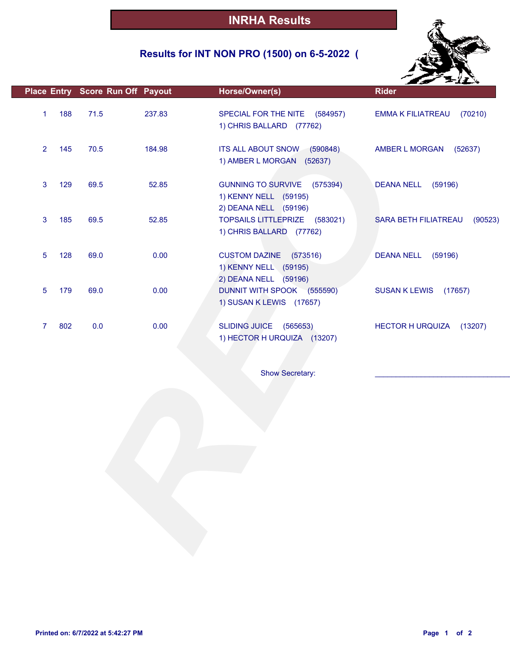### **Results for INT NON PRO (1500) on 6-5-2022 (**



|     |      |        | Horse/Owner(s)                                                  | <b>Rider</b>                                   |
|-----|------|--------|-----------------------------------------------------------------|------------------------------------------------|
| 188 | 71.5 | 237.83 | SPECIAL FOR THE NITE (584957)<br>1) CHRIS BALLARD (77762)       | (70210)<br><b>EMMA K FILIATREAU</b>            |
| 145 | 70.5 | 184.98 | ITS ALL ABOUT SNOW (590848)<br>1) AMBER L MORGAN (52637)        | AMBER L MORGAN<br>(52637)                      |
| 129 | 69.5 | 52.85  | <b>GUNNING TO SURVIVE</b><br>(575394)<br>1) KENNY NELL (59195)  | <b>DEANA NELL</b><br>(59196)                   |
| 185 | 69.5 | 52.85  | TOPSAILS LITTLEPRIZE (583021)<br>1) CHRIS BALLARD (77762)       | SARA BETH FILIATREAU<br>(90523)                |
| 128 | 69.0 | 0.00   | <b>CUSTOM DAZINE</b><br>(573516)<br>1) KENNY NELL (59195)       | <b>DEANA NELL</b><br>(59196)                   |
| 179 | 69.0 | 0.00   | DUNNIT WITH SPOOK (555590)<br>1) SUSAN K LEWIS (17657)          | <b>SUSAN K LEWIS</b><br>(17657)                |
| 802 | 0.0  | 0.00   | <b>SLIDING JUICE</b><br>(565653)<br>1) HECTOR H URQUIZA (13207) | <b>HECTOR H URQUIZA</b><br>(13207)             |
|     |      |        | Show Secretary:                                                 |                                                |
|     |      |        |                                                                 |                                                |
|     |      |        | Place Entry Score Run Off Payout                                | 2) DEANA NELL (59196)<br>2) DEANA NELL (59196) |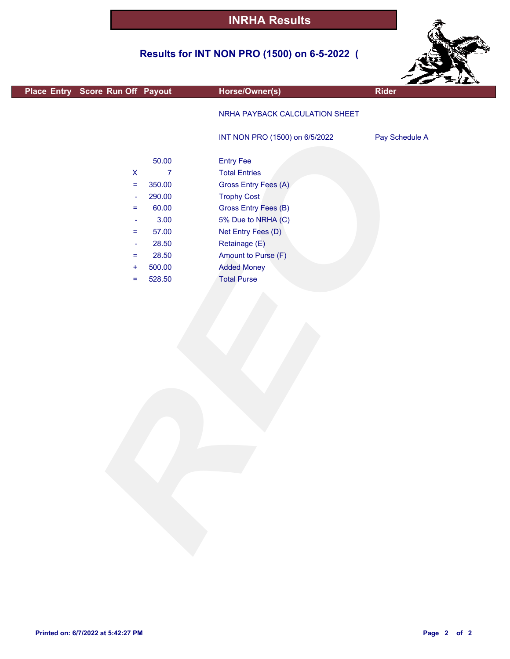### **Results for INT NON PRO (1500) on 6-5-2022 (**



| Place Entry Score Run Off Payout            | Horse/Owner(s)                 | ---<br><b>Rider</b> |
|---------------------------------------------|--------------------------------|---------------------|
|                                             |                                |                     |
|                                             | NRHA PAYBACK CALCULATION SHEET |                     |
|                                             | INT NON PRO (1500) on 6/5/2022 | Pay Schedule A      |
|                                             |                                |                     |
| 50.00                                       | <b>Entry Fee</b>               |                     |
| $\overline{7}$<br>$\boldsymbol{\mathsf{X}}$ | <b>Total Entries</b>           |                     |
| 350.00<br>$\equiv$                          | Gross Entry Fees (A)           |                     |
| 290.00<br>$\blacksquare$                    | <b>Trophy Cost</b>             |                     |
| 60.00<br>$\equiv$                           | Gross Entry Fees (B)           |                     |
| 3.00<br>$\overline{\phantom{a}}$            | 5% Due to NRHA (C)             |                     |
| 57.00<br>$\equiv$                           | Net Entry Fees (D)             |                     |
| 28.50<br>$\blacksquare$                     | Retainage (E)                  |                     |
| 28.50<br>$\equiv$                           | Amount to Purse (F)            |                     |
| 500.00<br>$\ddot{}$                         | <b>Added Money</b>             |                     |
| 528.50<br>$\equiv$                          | <b>Total Purse</b>             |                     |
|                                             |                                |                     |
|                                             |                                |                     |
|                                             |                                |                     |
|                                             |                                |                     |
|                                             |                                |                     |
|                                             |                                |                     |
|                                             |                                |                     |
|                                             |                                |                     |
|                                             |                                |                     |
|                                             |                                |                     |
|                                             |                                |                     |
|                                             |                                |                     |
|                                             |                                |                     |
|                                             |                                |                     |
|                                             |                                |                     |
|                                             |                                |                     |
|                                             |                                |                     |
|                                             |                                |                     |
|                                             |                                |                     |
|                                             |                                |                     |
|                                             |                                |                     |
|                                             |                                |                     |
|                                             |                                |                     |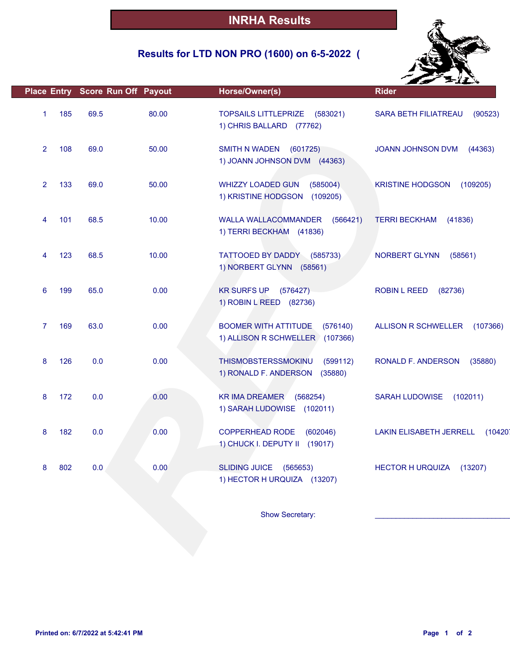### **Results for LTD NON PRO (1600) on 6-5-2022 (**



|                       | Place Entry Score Run Off Payout |       | Horse/Owner(s)                                                             | <b>Rider</b>                              |
|-----------------------|----------------------------------|-------|----------------------------------------------------------------------------|-------------------------------------------|
| 185<br>$\mathbf{1}$   | 69.5                             | 80.00 | <b>TOPSAILS LITTLEPRIZE</b><br>(583021)<br>1) CHRIS BALLARD (77762)        | <b>SARA BETH FILIATREAU</b><br>(90523)    |
| $\overline{2}$<br>108 | 69.0                             | 50.00 | <b>SMITH N WADEN</b><br>(601725)<br>1) JOANN JOHNSON DVM (44363)           | JOANN JOHNSON DVM<br>(44363)              |
| 133<br>$\overline{2}$ | 69.0                             | 50.00 | <b>WHIZZY LOADED GUN</b><br>(585004)<br>1) KRISTINE HODGSON<br>(109205)    | <b>KRISTINE HODGSON</b><br>(109205)       |
| 101<br>4              | 68.5                             | 10.00 | WALLA WALLACOMMANDER (566421)<br>1) TERRI BECKHAM (41836)                  | (41836)<br><b>TERRI BECKHAM</b>           |
| 123<br>4              | 68.5                             | 10.00 | TATTOOED BY DADDY<br>(585733)<br>1) NORBERT GLYNN (58561)                  | NORBERT GLYNN<br>(58561)                  |
| 199<br>6              | 65.0                             | 0.00  | <b>KR SURFS UP</b><br>(576427)<br>1) ROBIN L REED (82736)                  | <b>ROBIN L REED</b><br>(82736)            |
| $\overline{7}$<br>169 | 63.0                             | 0.00  | <b>BOOMER WITH ATTITUDE</b><br>(576140)<br>1) ALLISON R SCHWELLER (107366) | <b>ALLISON R SCHWELLER</b><br>(107366)    |
| 8<br>126              | 0.0                              | 0.00  | THISMOBSTERSSMOKINU<br>(599112)<br>1) RONALD F. ANDERSON<br>(35880)        | RONALD F. ANDERSON<br>(35880)             |
| 172<br>8              | 0.0                              | 0.00  | <b>KR IMA DREAMER</b><br>(568254)<br>1) SARAH LUDOWISE (102011)            | <b>SARAH LUDOWISE</b><br>(102011)         |
| 182<br>8              | 0.0                              | 0.00  | COPPERHEAD RODE<br>(602046)<br>1) CHUCK I. DEPUTY II (19017)               | <b>LAKIN ELISABETH JERRELL</b><br>(10420) |
| 802<br>8              | 0.0                              | 0.00  | SLIDING JUICE (565653)<br>1) HECTOR H URQUIZA (13207)                      | <b>HECTOR H URQUIZA</b><br>(13207)        |
|                       |                                  |       | Show Secretary:                                                            |                                           |
|                       |                                  |       |                                                                            |                                           |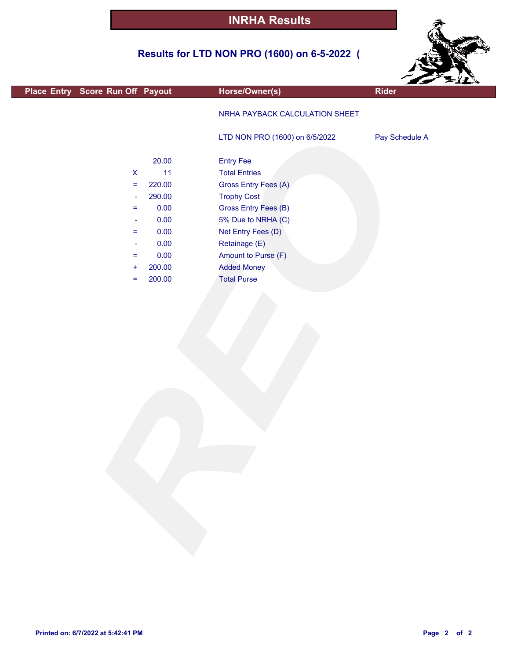### **Results for LTD NON PRO (1600) on 6-5-2022 (**



|                                  |        |                                | ---            |  |
|----------------------------------|--------|--------------------------------|----------------|--|
| Place Entry Score Run Off Payout |        | Horse/Owner(s)                 | <b>Rider</b>   |  |
|                                  |        | NRHA PAYBACK CALCULATION SHEET |                |  |
|                                  |        | LTD NON PRO (1600) on 6/5/2022 | Pay Schedule A |  |
|                                  | 20.00  | <b>Entry Fee</b>               |                |  |
| $\pmb{\mathsf{X}}$               | 11     | <b>Total Entries</b>           |                |  |
| $\equiv$                         | 220.00 | Gross Entry Fees (A)           |                |  |
| $\overline{\phantom{a}}$         | 290.00 | <b>Trophy Cost</b>             |                |  |
| $=$                              | 0.00   | <b>Gross Entry Fees (B)</b>    |                |  |
| $\overline{\phantom{a}}$         | 0.00   | 5% Due to NRHA (C)             |                |  |
| $\equiv$                         | 0.00   | Net Entry Fees (D)             |                |  |
| $\overline{\phantom{a}}$         | 0.00   | Retainage (E)                  |                |  |
| $\equiv$                         | 0.00   | Amount to Purse (F)            |                |  |
| $\ddot{}$                        | 200.00 | <b>Added Money</b>             |                |  |
| $\equiv$                         | 200.00 | <b>Total Purse</b>             |                |  |
|                                  |        |                                |                |  |
|                                  |        |                                |                |  |
|                                  |        |                                |                |  |
|                                  |        |                                |                |  |
|                                  |        |                                |                |  |
|                                  |        |                                |                |  |
|                                  |        |                                |                |  |
|                                  |        |                                |                |  |
|                                  |        |                                |                |  |
|                                  |        |                                |                |  |
|                                  |        |                                |                |  |
|                                  |        |                                |                |  |
|                                  |        |                                |                |  |
|                                  |        |                                |                |  |
|                                  |        |                                |                |  |

F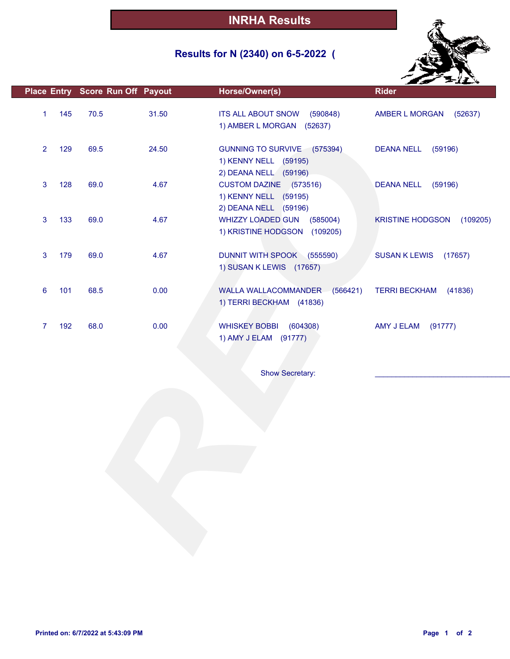### **Results for N (2340) on 6-5-2022 (**



|                |     | Place Entry Score Run Off Payout |       | Horse/Owner(s)                                                                | <b>Rider</b>                        |
|----------------|-----|----------------------------------|-------|-------------------------------------------------------------------------------|-------------------------------------|
| $\mathbf{1}$   | 145 | 70.5                             | 31.50 | <b>ITS ALL ABOUT SNOW</b><br>(590848)<br>1) AMBER L MORGAN<br>(52637)         | (52637)<br>AMBER L MORGAN           |
| $\overline{2}$ | 129 | 69.5                             | 24.50 | GUNNING TO SURVIVE (575394)<br>1) KENNY NELL (59195)<br>2) DEANA NELL (59196) | <b>DEANA NELL</b><br>(59196)        |
| $\mathbf{3}$   | 128 | 69.0                             | 4.67  | CUSTOM DAZINE (573516)<br>1) KENNY NELL (59195)<br>2) DEANA NELL (59196)      | <b>DEANA NELL</b><br>(59196)        |
| $\mathbf{3}$   | 133 | 69.0                             | 4.67  | <b>WHIZZY LOADED GUN</b><br>(585004)<br>1) KRISTINE HODGSON (109205)          | <b>KRISTINE HODGSON</b><br>(109205) |
| $\mathbf{3}$   | 179 | 69.0                             | 4.67  | DUNNIT WITH SPOOK (555590)<br>1) SUSAN K LEWIS (17657)                        | <b>SUSAN K LEWIS</b><br>(17657)     |
| 6              | 101 | 68.5                             | 0.00  | WALLA WALLACOMMANDER<br>(566421)<br>1) TERRI BECKHAM (41836)                  | <b>TERRI BECKHAM</b><br>(41836)     |
| $\overline{7}$ | 192 | 68.0                             | 0.00  | <b>WHISKEY BOBBI</b><br>(604308)<br>1) AMY J ELAM (91777)                     | AMY J ELAM<br>(91777)               |
|                |     |                                  |       | Show Secretary:                                                               |                                     |
|                |     |                                  |       |                                                                               |                                     |
|                |     |                                  |       |                                                                               |                                     |
|                |     |                                  |       |                                                                               |                                     |
|                |     |                                  |       |                                                                               |                                     |
|                |     |                                  |       |                                                                               |                                     |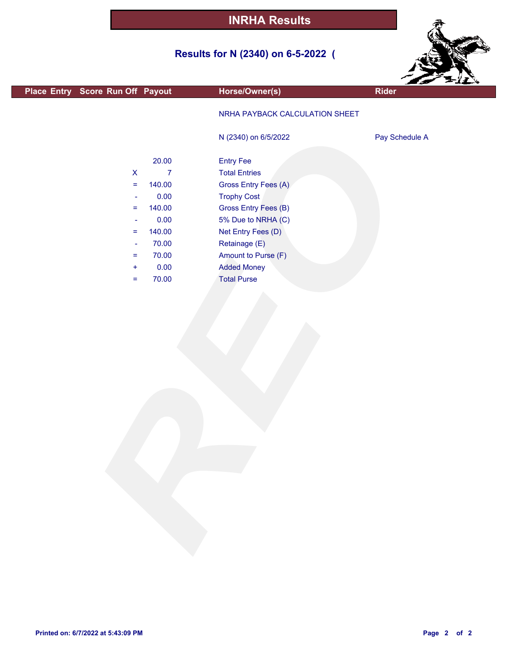### **Results for N (2340) on 6-5-2022 (**



|                                  |                |                                |                | $z = 11$ |
|----------------------------------|----------------|--------------------------------|----------------|----------|
| Place Entry Score Run Off Payout |                | Horse/Owner(s)                 | <b>Rider</b>   |          |
|                                  |                | NRHA PAYBACK CALCULATION SHEET |                |          |
|                                  |                | N (2340) on 6/5/2022           | Pay Schedule A |          |
|                                  | 20.00          | <b>Entry Fee</b>               |                |          |
| $\mathsf X$                      | $\overline{7}$ | <b>Total Entries</b>           |                |          |
| $\equiv$                         | 140.00         | Gross Entry Fees (A)           |                |          |
| ۰                                | 0.00           | <b>Trophy Cost</b>             |                |          |
| Ξ.                               | 140.00         | <b>Gross Entry Fees (B)</b>    |                |          |
| ۰                                | 0.00           | 5% Due to NRHA (C)             |                |          |
| =                                | 140.00         | Net Entry Fees (D)             |                |          |
| ۰                                | 70.00          | Retainage (E)                  |                |          |
| Ξ.                               | 70.00          | Amount to Purse (F)            |                |          |
| ÷                                | 0.00           | <b>Added Money</b>             |                |          |
| =                                | 70.00          | <b>Total Purse</b>             |                |          |
|                                  |                |                                |                |          |
|                                  |                |                                |                |          |
|                                  |                |                                |                |          |
|                                  |                |                                |                |          |
|                                  |                |                                |                |          |
|                                  |                |                                |                |          |
|                                  |                |                                |                |          |
|                                  |                |                                |                |          |
|                                  |                |                                |                |          |
|                                  |                |                                |                |          |
|                                  |                |                                |                |          |
|                                  |                |                                |                |          |
|                                  |                |                                |                |          |
|                                  |                |                                |                |          |
|                                  |                |                                |                |          |
|                                  |                |                                |                |          |
|                                  |                |                                |                |          |
|                                  |                |                                |                |          |
|                                  |                |                                |                |          |
|                                  |                |                                |                |          |
|                                  |                |                                |                |          |
|                                  |                |                                |                |          |
|                                  |                |                                |                |          |
|                                  |                |                                |                |          |
|                                  |                |                                |                |          |

г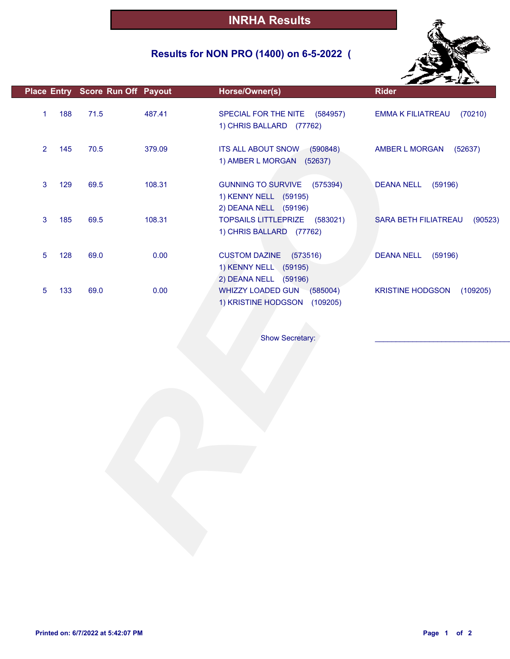### **Results for NON PRO (1400) on 6-5-2022 (**



|                |     | Place Entry Score Run Off Payout |        | Horse/Owner(s)                                                                          | <b>Rider</b>                        |
|----------------|-----|----------------------------------|--------|-----------------------------------------------------------------------------------------|-------------------------------------|
| $\mathbf{1}$   | 188 | 71.5                             | 487.41 | SPECIAL FOR THE NITE (584957)<br>1) CHRIS BALLARD (77762)                               | <b>EMMA K FILIATREAU</b><br>(70210) |
| $\overline{2}$ | 145 | 70.5                             | 379.09 | ITS ALL ABOUT SNOW (590848)<br>1) AMBER L MORGAN (52637)                                | AMBER L MORGAN<br>(52637)           |
| 3              | 129 | 69.5                             | 108.31 | <b>GUNNING TO SURVIVE</b><br>(575394)<br>1) KENNY NELL (59195)<br>2) DEANA NELL (59196) | <b>DEANA NELL</b><br>(59196)        |
| 3              | 185 | 69.5                             | 108.31 | TOPSAILS LITTLEPRIZE (583021)<br>1) CHRIS BALLARD (77762)                               | SARA BETH FILIATREAU<br>(90523)     |
| 5              | 128 | 69.0                             | 0.00   | <b>CUSTOM DAZINE</b><br>(573516)<br>1) KENNY NELL (59195)<br>2) DEANA NELL (59196)      | <b>DEANA NELL</b><br>(59196)        |
| 5              | 133 | 69.0                             | 0.00   | WHIZZY LOADED GUN<br>(585004)<br>1) KRISTINE HODGSON (109205)                           | <b>KRISTINE HODGSON</b><br>(109205) |
|                |     |                                  |        |                                                                                         |                                     |
|                |     |                                  |        | Show Secretary:                                                                         |                                     |
|                |     |                                  |        |                                                                                         |                                     |
|                |     |                                  |        |                                                                                         |                                     |
|                |     |                                  |        |                                                                                         |                                     |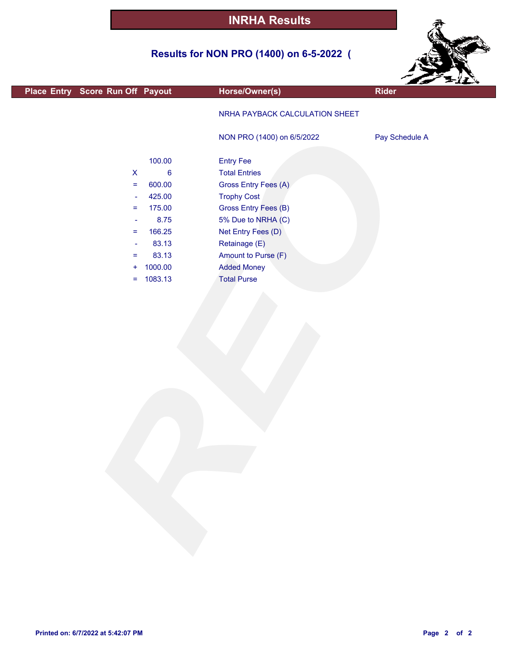### **Results for NON PRO (1400) on 6-5-2022 (**



| Place Entry Score Run Off Payout |                  | Horse/Owner(s)                 | <b>ALL SER</b><br><b>Rider</b> |
|----------------------------------|------------------|--------------------------------|--------------------------------|
|                                  |                  |                                |                                |
|                                  |                  | NRHA PAYBACK CALCULATION SHEET |                                |
|                                  |                  | NON PRO (1400) on 6/5/2022     | Pay Schedule A                 |
|                                  | 100.00           | <b>Entry Fee</b>               |                                |
| $\boldsymbol{\mathsf{X}}$        | $\boldsymbol{6}$ | <b>Total Entries</b>           |                                |
| $=$                              | 600.00           | Gross Entry Fees (A)           |                                |
| $\blacksquare$                   | 425.00           | <b>Trophy Cost</b>             |                                |
| Ξ                                | 175.00           | Gross Entry Fees (B)           |                                |
| $\blacksquare$                   | 8.75             | 5% Due to NRHA (C)             |                                |
| =                                | 166.25           | Net Entry Fees (D)             |                                |
| $\overline{\phantom{a}}$         | 83.13            | Retainage (E)                  |                                |
| $=$                              | 83.13            | Amount to Purse (F)            |                                |
| ÷                                | 1000.00          | <b>Added Money</b>             |                                |
| $\equiv$                         | 1083.13          | <b>Total Purse</b>             |                                |
|                                  |                  |                                |                                |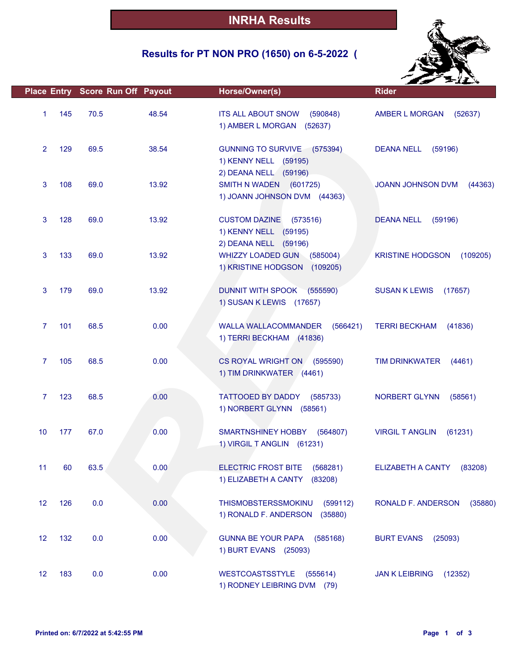### **Results for PT NON PRO (1650) on 6-5-2022 (**



|                |     | Place Entry Score Run Off Payout |       | Horse/Owner(s)                                                                     | <b>Rider</b>                        |
|----------------|-----|----------------------------------|-------|------------------------------------------------------------------------------------|-------------------------------------|
| $\mathbf{1}$   | 145 | 70.5                             | 48.54 | <b>ITS ALL ABOUT SNOW</b><br>(590848)<br>1) AMBER L MORGAN<br>(52637)              | AMBER L MORGAN<br>(52637)           |
| $\overline{2}$ | 129 | 69.5                             | 38.54 | GUNNING TO SURVIVE (575394)<br>1) KENNY NELL (59195)                               | <b>DEANA NELL</b><br>(59196)        |
| 3              | 108 | 69.0                             | 13.92 | 2) DEANA NELL (59196)<br>SMITH N WADEN (601725)<br>1) JOANN JOHNSON DVM (44363)    | <b>JOANN JOHNSON DVM</b><br>(44363) |
| 3              | 128 | 69.0                             | 13.92 | <b>CUSTOM DAZINE</b><br>(573516)<br>1) KENNY NELL (59195)<br>2) DEANA NELL (59196) | <b>DEANA NELL</b><br>(59196)        |
| 3              | 133 | 69.0                             | 13.92 | WHIZZY LOADED GUN (585004)<br>1) KRISTINE HODGSON (109205)                         | <b>KRISTINE HODGSON</b><br>(109205) |
| 3              | 179 | 69.0                             | 13.92 | DUNNIT WITH SPOOK (555590)<br>1) SUSAN K LEWIS (17657)                             | <b>SUSAN K LEWIS</b><br>(17657)     |
| $\overline{7}$ | 101 | 68.5                             | 0.00  | <b>WALLA WALLACOMMANDER</b><br>(566421)<br>1) TERRI BECKHAM (41836)                | <b>TERRI BECKHAM</b><br>(41836)     |
| $\mathbf{7}$   | 105 | 68.5                             | 0.00  | CS ROYAL WRIGHT ON (595590)<br>1) TIM DRINKWATER (4461)                            | <b>TIM DRINKWATER</b><br>(4461)     |
| $\overline{7}$ | 123 | 68.5                             | 0.00  | TATTOOED BY DADDY<br>(585733)<br>1) NORBERT GLYNN (58561)                          | <b>NORBERT GLYNN</b><br>(58561)     |
| 10             | 177 | 67.0                             | 0.00  | SMARTNSHINEY HOBBY (564807)<br>1) VIRGIL T ANGLIN (61231)                          | <b>VIRGIL T ANGLIN</b><br>(61231)   |
| 11             | 60  | 63.5                             | 0.00  | <b>ELECTRIC FROST BITE</b><br>(568281)<br>1) ELIZABETH A CANTY<br>(83208)          | ELIZABETH A CANTY<br>(83208)        |
| 12             | 126 | 0.0                              | 0.00  | THISMOBSTERSSMOKINU<br>(599112)<br>1) RONALD F. ANDERSON<br>(35880)                | RONALD F. ANDERSON<br>(35880)       |
| 12             | 132 | 0.0                              | 0.00  | <b>GUNNA BE YOUR PAPA</b><br>(585168)<br>1) BURT EVANS (25093)                     | <b>BURT EVANS</b><br>(25093)        |
| 12             | 183 | 0.0                              | 0.00  | <b>WESTCOASTSSTYLE</b><br>(555614)<br>1) RODNEY LEIBRING DVM (79)                  | <b>JAN K LEIBRING</b><br>(12352)    |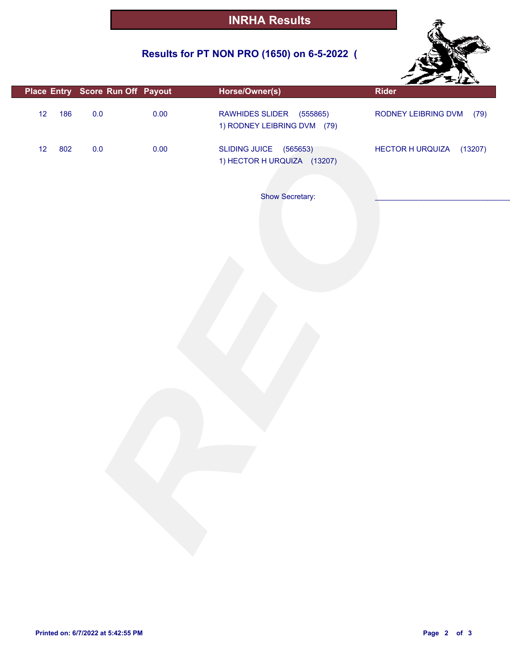### **Results for PT NON PRO (1650) on 6-5-2022 (**



|           | Place Entry Score Run Off Payout |      | Horse/Owner(s)                                             | <b>Rider</b>                |
|-----------|----------------------------------|------|------------------------------------------------------------|-----------------------------|
| 12<br>186 | 0.0                              | 0.00 | RAWHIDES SLIDER<br>(555865)<br>1) RODNEY LEIBRING DVM (79) | RODNEY LEIBRING DVM<br>(79) |
| 12<br>802 | $0.0\,$                          | 0.00 | SLIDING JUICE (565653)<br>1) HECTOR H URQUIZA (13207)      | HECTOR HURQUIZA (13207)     |
|           |                                  |      | Show Secretary:                                            |                             |
|           |                                  |      |                                                            |                             |
|           |                                  |      |                                                            |                             |
|           |                                  |      |                                                            |                             |
|           |                                  |      |                                                            |                             |
|           |                                  |      |                                                            |                             |
|           |                                  |      |                                                            |                             |
|           |                                  |      |                                                            |                             |
|           |                                  |      |                                                            |                             |
|           |                                  |      |                                                            |                             |
|           |                                  |      |                                                            |                             |
|           |                                  |      |                                                            |                             |
|           |                                  |      |                                                            |                             |
|           |                                  |      |                                                            |                             |
|           |                                  |      |                                                            |                             |
|           |                                  |      |                                                            |                             |
|           |                                  |      |                                                            |                             |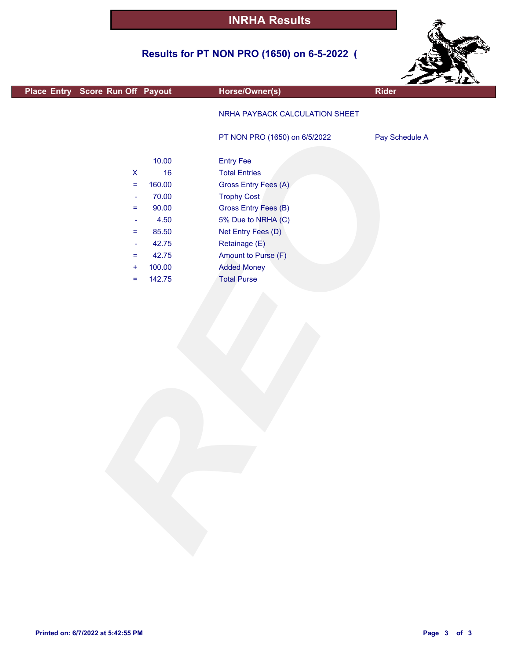### **Results for PT NON PRO (1650) on 6-5-2022 (**



| Place Entry Score Run Off Payout  | Horse/Owner(s)                 | مى م<br><b>Rider</b> |
|-----------------------------------|--------------------------------|----------------------|
|                                   | NRHA PAYBACK CALCULATION SHEET |                      |
|                                   |                                |                      |
|                                   | PT NON PRO (1650) on 6/5/2022  | Pay Schedule A       |
|                                   |                                |                      |
| 10.00                             | <b>Entry Fee</b>               |                      |
| $\mathsf X$<br>16                 | <b>Total Entries</b>           |                      |
| 160.00<br>$\equiv$                | Gross Entry Fees (A)           |                      |
| 70.00<br>$\overline{\phantom{a}}$ | <b>Trophy Cost</b>             |                      |
| 90.00<br>$\equiv$                 | Gross Entry Fees (B)           |                      |
| 4.50<br>$\blacksquare$            | 5% Due to NRHA (C)             |                      |
| 85.50<br>$\equiv$                 | Net Entry Fees (D)             |                      |
| 42.75<br>$\blacksquare$           | Retainage (E)                  |                      |
| 42.75<br>$\equiv$                 | Amount to Purse (F)            |                      |
| 100.00<br>$\ddot{}$               | <b>Added Money</b>             |                      |
| 142.75<br>$\equiv$                | <b>Total Purse</b>             |                      |
|                                   |                                |                      |
|                                   |                                |                      |
|                                   |                                |                      |
|                                   |                                |                      |
|                                   |                                |                      |
|                                   |                                |                      |
|                                   |                                |                      |
|                                   |                                |                      |
|                                   |                                |                      |
|                                   |                                |                      |
|                                   |                                |                      |
|                                   |                                |                      |
|                                   |                                |                      |
|                                   |                                |                      |
|                                   |                                |                      |
|                                   |                                |                      |
|                                   |                                |                      |
|                                   |                                |                      |
|                                   |                                |                      |
|                                   |                                |                      |
|                                   |                                |                      |
|                                   |                                |                      |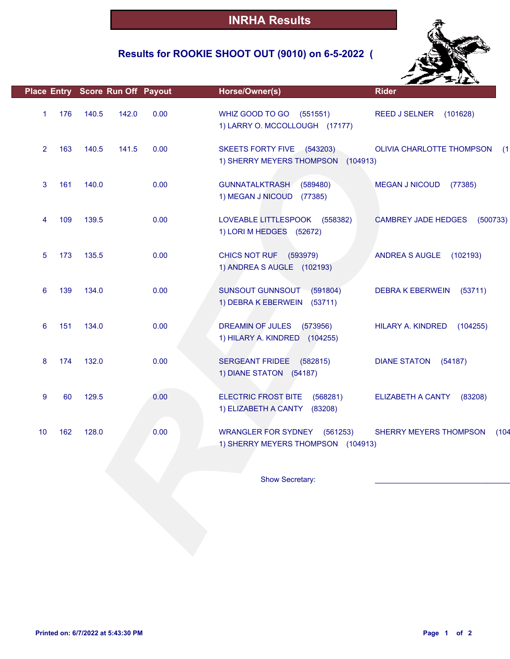### **Results for ROOKIE SHOOT OUT (9010) on 6-5-2022 (**



| 176<br>0.00<br>WHIZ GOOD TO GO<br>140.5<br>142.0<br>(551551)<br>1<br><b>REED J SELNER</b><br>1) LARRY O. MCCOLLOUGH (17177)<br>163<br>140.5<br>141.5<br>0.00<br>SKEETS FORTY FIVE (543203)<br>$\overline{2}$<br>1) SHERRY MEYERS THOMPSON (104913)<br>161<br>140.0<br>0.00<br><b>GUNNATALKTRASH</b><br>3<br>(589480)<br><b>MEGAN J NICOUD</b><br>1) MEGAN J NICOUD<br>(77385)<br>4<br>109<br>139.5<br>0.00<br>LOVEABLE LITTLESPOOK (558382)<br><b>CAMBREY JADE HEDGES</b><br>1) LORI M HEDGES (52672)<br>135.5<br>0.00<br>CHICS NOT RUF (593979)<br>5<br>173<br>ANDREA S AUGLE<br>1) ANDREA S AUGLE (102193)<br>6<br>139<br>134.0<br>0.00<br>SUNSOUT GUNNSOUT (591804)<br><b>DEBRA K EBERWEIN</b><br>1) DEBRA K EBERWEIN (53711)<br>151<br>134.0<br>0.00<br>6<br>DREAMIN OF JULES<br>(573956)<br>HILARY A. KINDRED<br>1) HILARY A. KINDRED (104255)<br>174<br>132.0<br>0.00<br>8<br>SERGEANT FRIDEE (582815)<br><b>DIANE STATON</b><br>1) DIANE STATON (54187)<br>9<br>129.5<br>0.00<br>60<br><b>ELECTRIC FROST BITE</b><br>(568281)<br>ELIZABETH A CANTY<br>1) ELIZABETH A CANTY<br>(83208) |                                  |
|----------------------------------------------------------------------------------------------------------------------------------------------------------------------------------------------------------------------------------------------------------------------------------------------------------------------------------------------------------------------------------------------------------------------------------------------------------------------------------------------------------------------------------------------------------------------------------------------------------------------------------------------------------------------------------------------------------------------------------------------------------------------------------------------------------------------------------------------------------------------------------------------------------------------------------------------------------------------------------------------------------------------------------------------------------------------------------------------|----------------------------------|
|                                                                                                                                                                                                                                                                                                                                                                                                                                                                                                                                                                                                                                                                                                                                                                                                                                                                                                                                                                                                                                                                                              | (101628)                         |
|                                                                                                                                                                                                                                                                                                                                                                                                                                                                                                                                                                                                                                                                                                                                                                                                                                                                                                                                                                                                                                                                                              | OLIVIA CHARLOTTE THOMPSON<br>(1) |
|                                                                                                                                                                                                                                                                                                                                                                                                                                                                                                                                                                                                                                                                                                                                                                                                                                                                                                                                                                                                                                                                                              | (77385)                          |
|                                                                                                                                                                                                                                                                                                                                                                                                                                                                                                                                                                                                                                                                                                                                                                                                                                                                                                                                                                                                                                                                                              | (500733)                         |
|                                                                                                                                                                                                                                                                                                                                                                                                                                                                                                                                                                                                                                                                                                                                                                                                                                                                                                                                                                                                                                                                                              | (102193)                         |
|                                                                                                                                                                                                                                                                                                                                                                                                                                                                                                                                                                                                                                                                                                                                                                                                                                                                                                                                                                                                                                                                                              | (53711)                          |
|                                                                                                                                                                                                                                                                                                                                                                                                                                                                                                                                                                                                                                                                                                                                                                                                                                                                                                                                                                                                                                                                                              | (104255)                         |
|                                                                                                                                                                                                                                                                                                                                                                                                                                                                                                                                                                                                                                                                                                                                                                                                                                                                                                                                                                                                                                                                                              | (54187)                          |
|                                                                                                                                                                                                                                                                                                                                                                                                                                                                                                                                                                                                                                                                                                                                                                                                                                                                                                                                                                                                                                                                                              | (83208)                          |
| 0.00<br>162<br>128.0<br>WRANGLER FOR SYDNEY (561253)<br>SHERRY MEYERS THOMPSON<br>10<br>1) SHERRY MEYERS THOMPSON (104913)                                                                                                                                                                                                                                                                                                                                                                                                                                                                                                                                                                                                                                                                                                                                                                                                                                                                                                                                                                   | (104                             |
| Show Secretary:                                                                                                                                                                                                                                                                                                                                                                                                                                                                                                                                                                                                                                                                                                                                                                                                                                                                                                                                                                                                                                                                              |                                  |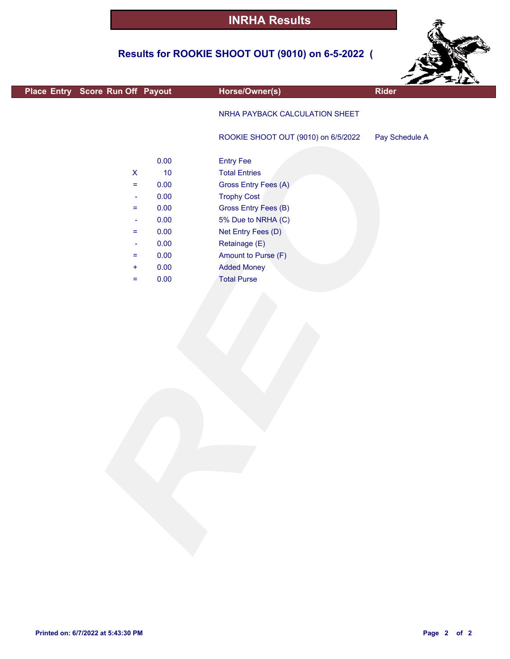### **Results for ROOKIE SHOOT OUT (9010) on 6-5-2022 (**



| Place Entry Score Run Off Payout                                                                                    |                                                              | Horse/Owner(s)                                                                                                                                                              | Rider          |
|---------------------------------------------------------------------------------------------------------------------|--------------------------------------------------------------|-----------------------------------------------------------------------------------------------------------------------------------------------------------------------------|----------------|
|                                                                                                                     |                                                              | NRHA PAYBACK CALCULATION SHEET                                                                                                                                              |                |
|                                                                                                                     |                                                              | ROOKIE SHOOT OUT (9010) on 6/5/2022                                                                                                                                         | Pay Schedule A |
| $\mathsf X$<br>$\equiv$<br>$\rightarrow$<br>$\equiv$<br>$\overline{\phantom{a}}$<br>$=$<br>$\overline{\phantom{a}}$ | 0.00<br>$10$<br>0.00<br>0.00<br>0.00<br>0.00<br>0.00<br>0.00 | <b>Entry Fee</b><br><b>Total Entries</b><br>Gross Entry Fees (A)<br><b>Trophy Cost</b><br>Gross Entry Fees (B)<br>5% Due to NRHA (C)<br>Net Entry Fees (D)<br>Retainage (E) |                |
| $=$<br>÷<br>$=$                                                                                                     | 0.00<br>0.00<br>0.00                                         | Amount to Purse (F)<br><b>Added Money</b><br><b>Total Purse</b>                                                                                                             |                |
|                                                                                                                     |                                                              |                                                                                                                                                                             |                |

П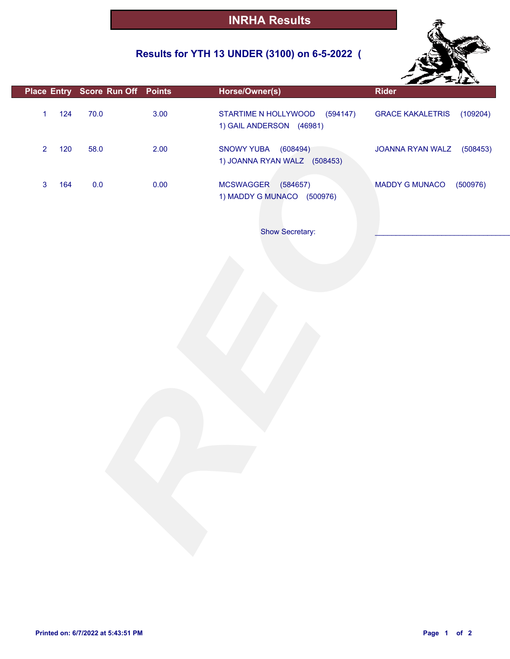### **Results for YTH 13 UNDER (3100) on 6-5-2022 (**



|              |     |         | Place Entry Score Run Off Points | Horse/Owner(s)                                                | <b>Rider</b>                        |
|--------------|-----|---------|----------------------------------|---------------------------------------------------------------|-------------------------------------|
| $\mathbf{1}$ | 124 | 70.0    | 3.00                             | STARTIME N HOLLYWOOD<br>(594147)<br>1) GAIL ANDERSON (46981)  | <b>GRACE KAKALETRIS</b><br>(109204) |
| $\mathbf 2$  | 120 | 58.0    | 2.00                             | <b>SNOWY YUBA</b><br>(608494)<br>1) JOANNA RYAN WALZ (508453) | JOANNA RYAN WALZ<br>(508453)        |
| 3            | 164 | $0.0\,$ | 0.00                             | MCSWAGGER (584657)<br>1) MADDY G MUNACO (500976)              | <b>MADDY G MUNACO</b><br>(500976)   |
|              |     |         |                                  | Show Secretary:                                               |                                     |
|              |     |         |                                  |                                                               |                                     |
|              |     |         |                                  |                                                               |                                     |
|              |     |         |                                  |                                                               |                                     |
|              |     |         |                                  |                                                               |                                     |
|              |     |         |                                  |                                                               |                                     |
|              |     |         |                                  |                                                               |                                     |
|              |     |         |                                  |                                                               |                                     |
|              |     |         |                                  |                                                               |                                     |

П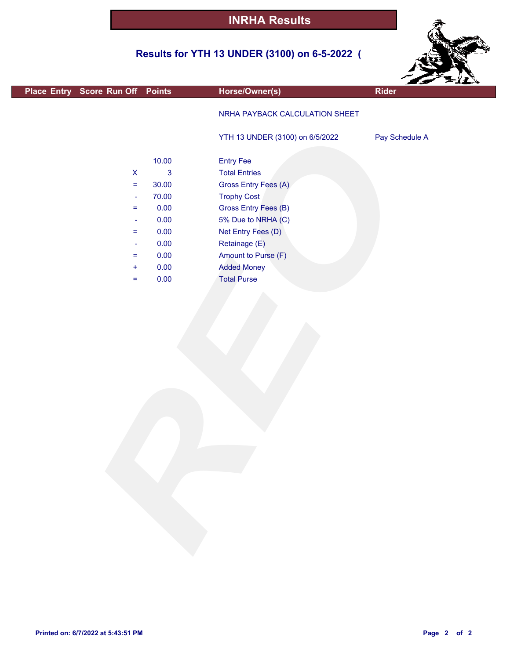### **Results for YTH 13 UNDER (3100) on 6-5-2022 (**



| Place Entry Score Run Off Points |                           |             | Horse/Owner(s)                  | <b>Rider</b>   |
|----------------------------------|---------------------------|-------------|---------------------------------|----------------|
|                                  |                           |             | NRHA PAYBACK CALCULATION SHEET  |                |
|                                  |                           |             | YTH 13 UNDER (3100) on 6/5/2022 | Pay Schedule A |
|                                  |                           | 10.00       | <b>Entry Fee</b>                |                |
|                                  | $\boldsymbol{\mathsf{X}}$ | $\mathbf 3$ | <b>Total Entries</b>            |                |
|                                  | $\equiv$                  | 30.00       | Gross Entry Fees (A)            |                |
|                                  | $\blacksquare$            | 70.00       | <b>Trophy Cost</b>              |                |
|                                  | $\equiv$                  | 0.00        | Gross Entry Fees (B)            |                |
|                                  | $\blacksquare$            | 0.00        | 5% Due to NRHA (C)              |                |
|                                  | $\equiv$                  | 0.00        | Net Entry Fees (D)              |                |
|                                  | $\blacksquare$            | 0.00        | Retainage (E)                   |                |
|                                  | $\equiv$                  | 0.00        | Amount to Purse (F)             |                |
|                                  | $+$                       | 0.00        | <b>Added Money</b>              |                |
|                                  | $\equiv$                  | 0.00        | <b>Total Purse</b>              |                |
|                                  |                           |             |                                 |                |
|                                  |                           |             |                                 |                |

F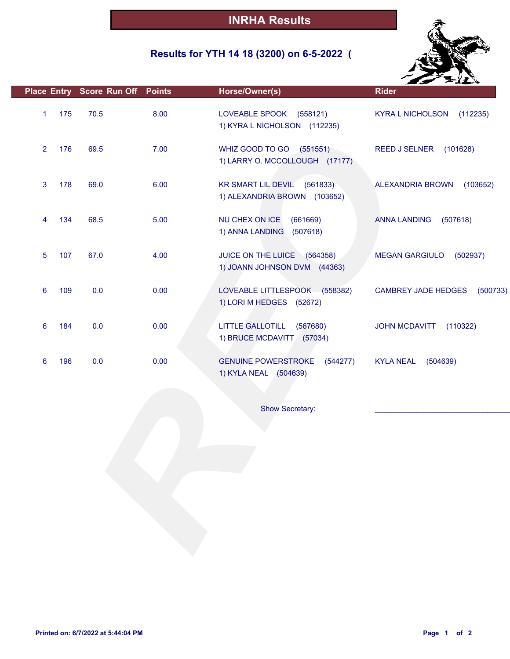### **Results for YTH 14 18 (3200) on 6-5-2022 (**



|                |     | Place Entry Score Run Off Points |      | Horse/Owner(s)                                                        | <b>Rider</b>                           |
|----------------|-----|----------------------------------|------|-----------------------------------------------------------------------|----------------------------------------|
| $\mathbf{1}$   | 175 | 70.5                             | 8.00 | LOVEABLE SPOOK (558121)<br>1) KYRA L NICHOLSON (112235)               | <b>KYRA L NICHOLSON</b><br>(112235)    |
| $\overline{2}$ | 176 | 69.5                             | 7.00 | WHIZ GOOD TO GO (551551)<br>1) LARRY O. MCCOLLOUGH (17177)            | REED J SELNER (101628)                 |
| 3              | 178 | 69.0                             | 6.00 | <b>KR SMART LIL DEVIL</b><br>(561833)<br>1) ALEXANDRIA BROWN (103652) | <b>ALEXANDRIA BROWN</b><br>(103652)    |
| 4              | 134 | 68.5                             | 5.00 | NU CHEX ON ICE<br>(661669)<br>1) ANNA LANDING<br>(507618)             | <b>ANNA LANDING</b><br>(507618)        |
| 5              | 107 | 67.0                             | 4.00 | JUICE ON THE LUICE (564358)<br>1) JOANN JOHNSON DVM (44363)           | <b>MEGAN GARGIULO</b><br>(502937)      |
| 6              | 109 | 0.0                              | 0.00 | LOVEABLE LITTLESPOOK (558382)<br>1) LORI M HEDGES (52672)             | <b>CAMBREY JADE HEDGES</b><br>(500733) |
| 6              | 184 | 0.0                              | 0.00 | <b>LITTLE GALLOTILL</b><br>(567680)<br>1) BRUCE MCDAVITT (57034)      | <b>JOHN MCDAVITT</b><br>(110322)       |
| 6              | 196 | 0.0                              | 0.00 | <b>GENUINE POWERSTROKE</b><br>(544277)<br>1) KYLA NEAL (504639)       | <b>KYLA NEAL</b><br>(504639)           |
|                |     |                                  |      | <b>Show Secretary:</b>                                                |                                        |
|                |     |                                  |      |                                                                       |                                        |
|                |     |                                  |      |                                                                       |                                        |
|                |     |                                  |      |                                                                       |                                        |
|                |     |                                  |      |                                                                       |                                        |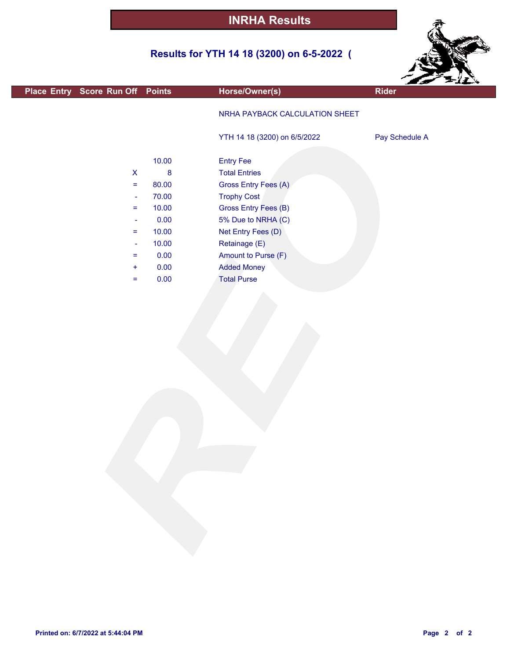### **Results for YTH 14 18 (3200) on 6-5-2022 (**



|                                  |         |                                | $\mathcal{L}$ $\mathcal{L}$ |
|----------------------------------|---------|--------------------------------|-----------------------------|
| Place Entry Score Run Off Points |         | Horse/Owner(s)                 | <b>Rider</b>                |
|                                  |         | NRHA PAYBACK CALCULATION SHEET |                             |
|                                  |         | YTH 14 18 (3200) on 6/5/2022   | Pay Schedule A              |
|                                  | 10.00   | <b>Entry Fee</b>               |                             |
| $\boldsymbol{\mathsf{X}}$        | $\bf 8$ | <b>Total Entries</b>           |                             |
| $\equiv$                         | 80.00   | Gross Entry Fees (A)           |                             |
| $\blacksquare$                   | 70.00   | <b>Trophy Cost</b>             |                             |
| $\equiv$                         | 10.00   | Gross Entry Fees (B)           |                             |
| $\overline{\phantom{a}}$         | 0.00    | 5% Due to NRHA (C)             |                             |
| $\equiv$                         | 10.00   | Net Entry Fees (D)             |                             |
| $\blacksquare$                   | 10.00   | Retainage (E)                  |                             |
| $\equiv$                         | 0.00    | Amount to Purse (F)            |                             |
| $\ddot{}$                        | 0.00    | <b>Added Money</b>             |                             |
| $\equiv$                         | 0.00    | <b>Total Purse</b>             |                             |
|                                  |         |                                |                             |
|                                  |         |                                |                             |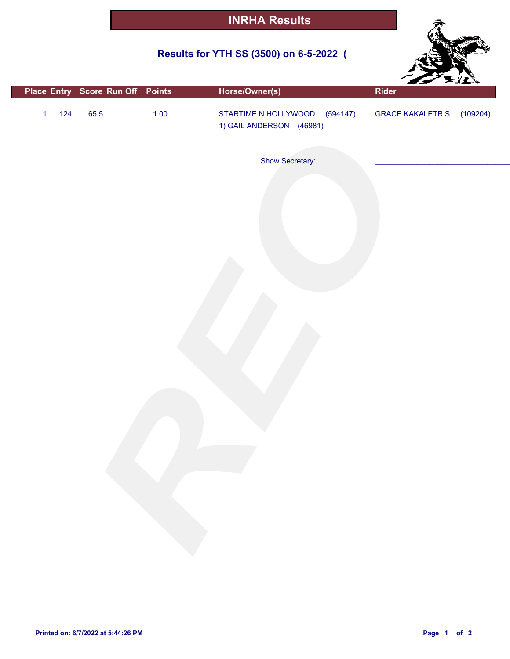### **Results for YTH SS (3500) on 6-5-2022 (**



|                       |      | Place Entry Score Run Off Points | Horse/Owner(s)                                            | Rider                     |  |
|-----------------------|------|----------------------------------|-----------------------------------------------------------|---------------------------|--|
| $124$<br>$\mathbf{1}$ | 65.5 | $1.00$                           | STARTIME N HOLLYWOOD (594147)<br>1) GAIL ANDERSON (46981) | GRACE KAKALETRIS (109204) |  |
|                       |      |                                  | Show Secretary:                                           |                           |  |
|                       |      |                                  |                                                           |                           |  |
|                       |      |                                  |                                                           |                           |  |
|                       |      |                                  |                                                           |                           |  |